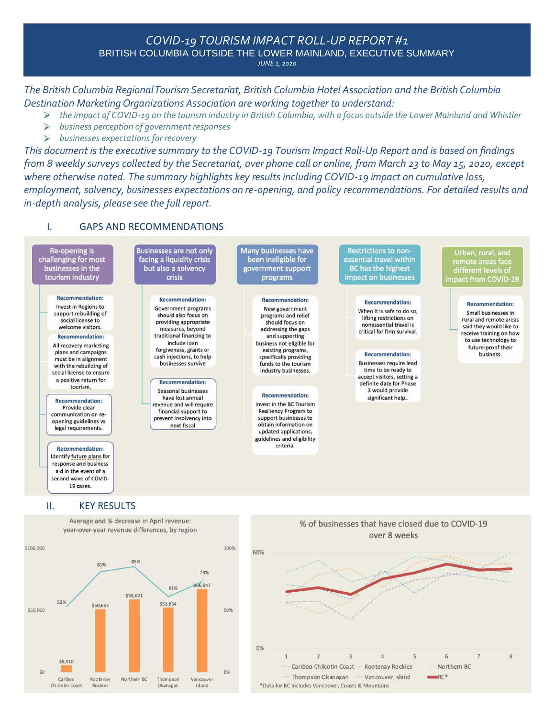# *COVID-19 TOURISM IMPACT ROLL-UP REPORT #1* BRITISH COLUMBIA OUTSIDE THE LOWER MAINLAND, EXECUTIVE SUMMARY

*JUNE 1, 2020*

*The British Columbia Regional Tourism Secretariat, British Columbia Hotel Association and the British Columbia Destination Marketing Organizations Association are working together to understand:* 

- *the impact of COVID-19 on the tourism industry in British Columbia, with a focus outside the Lower Mainland and Whistler*
- $\blacktriangleright$ *business perception of government responses*
- $\blacktriangleright$ *businesses expectations for recovery*

*This document is the executive summary to the COVID-19 Tourism Impact Roll-Up Report and is based on findings from 8 weekly surveys collected by the Secretariat, over phone call or online, from March 23 to May 15, 2020, except where otherwise noted. The summary highlights key results including COVID-19 impact on cumulative loss,*  employment, solvency, businesses expectations on re-opening, and policy recommendations. For detailed results and *in-depth analysis, please see the full report.* 

#### I. GAPS AND RECOMMENDATIONS



#### II. KEY RESULTS



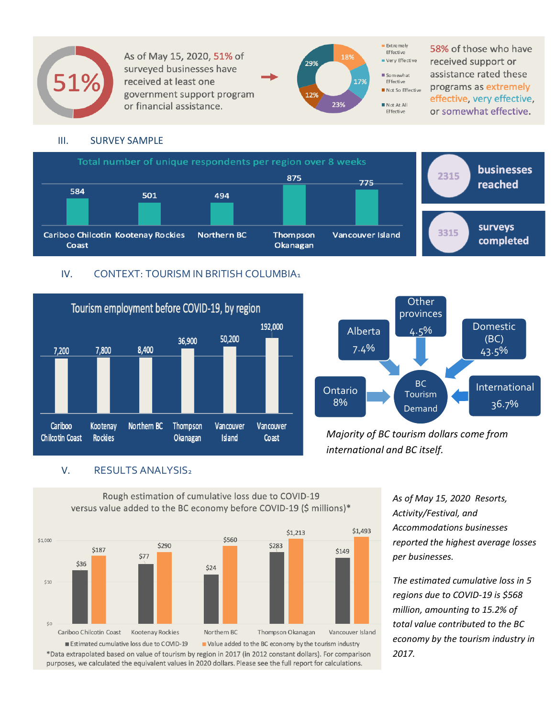

As of May 15, 2020, 51% of surveyed businesses have received at least one government support program or financial assistance.



58% of those who have received support or assistance rated these programs as extremely effective, very effective, or somewhat effective.

#### III. SURVEY SAMPLE



### IV. CONTEXT: TOURISM IN BRITISH COLUMBIA<sup>1</sup>





*Majority of BC tourism dollars come from international and BC itself.*

## V. RESULTS ANALYSIS<sub>2</sub>



*As of May 15, 2020, Resorts, Activity/Festival, and Accommodations businesses reported the highest average losses per businesses.* 

*The estimated cumulative loss in 5 regions due to COVID-19 is \$568 million, amounting to 15.2% of total value contributed to the BC economy by the tourism industry in 2017.*